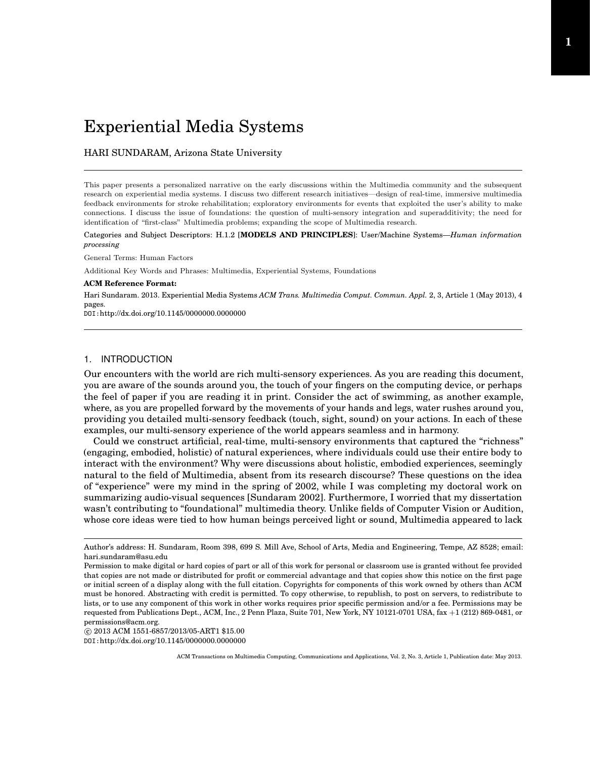# Experiential Media Systems

HARI SUNDARAM, Arizona State University

This paper presents a personalized narrative on the early discussions within the Multimedia community and the subsequent research on experiential media systems. I discuss two different research initiatives—design of real-time, immersive multimedia feedback environments for stroke rehabilitation; exploratory environments for events that exploited the user's ability to make connections. I discuss the issue of foundations: the question of multi-sensory integration and superadditivity; the need for identification of "first-class" Multimedia problems; expanding the scope of Multimedia research.

Categories and Subject Descriptors: H.1.2 [**MODELS AND PRINCIPLES**]: User/Machine Systems—*Human information processing*

General Terms: Human Factors

Additional Key Words and Phrases: Multimedia, Experiential Systems, Foundations

#### **ACM Reference Format:**

Hari Sundaram. 2013. Experiential Media Systems *ACM Trans. Multimedia Comput. Commun. Appl.* 2, 3, Article 1 (May 2013), 4 pages.

DOI:http://dx.doi.org/10.1145/0000000.0000000

# 1. INTRODUCTION

Our encounters with the world are rich multi-sensory experiences. As you are reading this document, you are aware of the sounds around you, the touch of your fingers on the computing device, or perhaps the feel of paper if you are reading it in print. Consider the act of swimming, as another example, where, as you are propelled forward by the movements of your hands and legs, water rushes around you, providing you detailed multi-sensory feedback (touch, sight, sound) on your actions. In each of these examples, our multi-sensory experience of the world appears seamless and in harmony.

Could we construct artificial, real-time, multi-sensory environments that captured the "richness" (engaging, embodied, holistic) of natural experiences, where individuals could use their entire body to interact with the environment? Why were discussions about holistic, embodied experiences, seemingly natural to the field of Multimedia, absent from its research discourse? These questions on the idea of "experience" were my mind in the spring of 2002, while I was completing my doctoral work on summarizing audio-visual sequences [Sundaram 2002]. Furthermore, I worried that my dissertation wasn't contributing to "foundational" multimedia theory. Unlike fields of Computer Vision or Audition, whose core ideas were tied to how human beings perceived light or sound, Multimedia appeared to lack

 $\copyright$  2013 ACM 1551-6857/2013/05-ART1 \$15.00

DOI:http://dx.doi.org/10.1145/0000000.0000000

Author's address: H. Sundaram, Room 398, 699 S. Mill Ave, School of Arts, Media and Engineering, Tempe, AZ 8528; email: hari.sundaram@asu.edu

Permission to make digital or hard copies of part or all of this work for personal or classroom use is granted without fee provided that copies are not made or distributed for profit or commercial advantage and that copies show this notice on the first page or initial screen of a display along with the full citation. Copyrights for components of this work owned by others than ACM must be honored. Abstracting with credit is permitted. To copy otherwise, to republish, to post on servers, to redistribute to lists, or to use any component of this work in other works requires prior specific permission and/or a fee. Permissions may be requested from Publications Dept., ACM, Inc., 2 Penn Plaza, Suite 701, New York, NY 10121-0701 USA, fax +1 (212) 869-0481, or permissions@acm.org.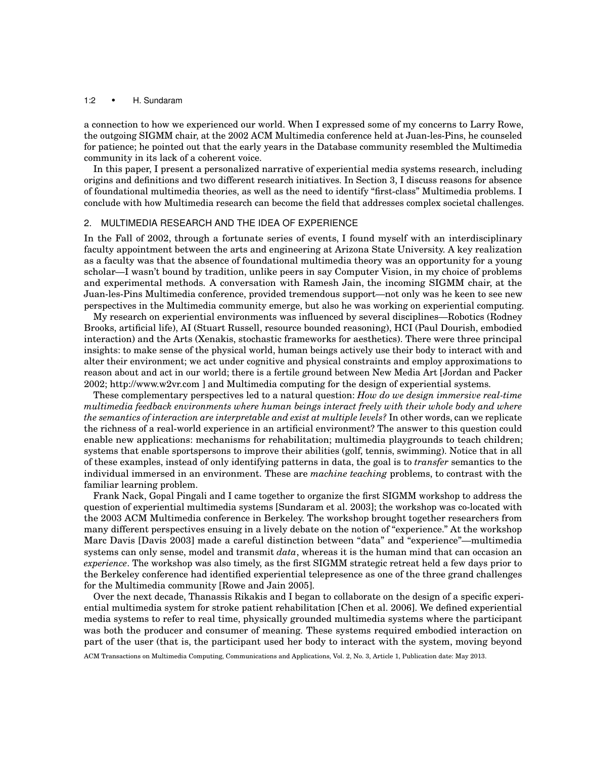### 1:2 *•* H. Sundaram

a connection to how we experienced our world. When I expressed some of my concerns to Larry Rowe, the outgoing SIGMM chair, at the 2002 ACM Multimedia conference held at Juan-les-Pins, he counseled for patience; he pointed out that the early years in the Database community resembled the Multimedia community in its lack of a coherent voice.

In this paper, I present a personalized narrative of experiential media systems research, including origins and definitions and two different research initiatives. In Section 3, I discuss reasons for absence of foundational multimedia theories, as well as the need to identify "first-class" Multimedia problems. I conclude with how Multimedia research can become the field that addresses complex societal challenges.

## 2. MULTIMEDIA RESEARCH AND THE IDEA OF EXPERIENCE

In the Fall of 2002, through a fortunate series of events, I found myself with an interdisciplinary faculty appointment between the arts and engineering at Arizona State University. A key realization as a faculty was that the absence of foundational multimedia theory was an opportunity for a young scholar—I wasn't bound by tradition, unlike peers in say Computer Vision, in my choice of problems and experimental methods. A conversation with Ramesh Jain, the incoming SIGMM chair, at the Juan-les-Pins Multimedia conference, provided tremendous support—not only was he keen to see new perspectives in the Multimedia community emerge, but also he was working on experiential computing.

My research on experiential environments was influenced by several disciplines—Robotics (Rodney Brooks, artificial life), AI (Stuart Russell, resource bounded reasoning), HCI (Paul Dourish, embodied interaction) and the Arts (Xenakis, stochastic frameworks for aesthetics). There were three principal insights: to make sense of the physical world, human beings actively use their body to interact with and alter their environment; we act under cognitive and physical constraints and employ approximations to reason about and act in our world; there is a fertile ground between New Media Art [Jordan and Packer 2002; http://www.w2vr.com ] and Multimedia computing for the design of experiential systems.

These complementary perspectives led to a natural question: *How do we design immersive real-time multimedia feedback environments where human beings interact freely with their whole body and where the semantics of interaction are interpretable and exist at multiple levels?* In other words, can we replicate the richness of a real-world experience in an artificial environment? The answer to this question could enable new applications: mechanisms for rehabilitation; multimedia playgrounds to teach children; systems that enable sportspersons to improve their abilities (golf, tennis, swimming). Notice that in all of these examples, instead of only identifying patterns in data, the goal is to *transfer* semantics to the individual immersed in an environment. These are *machine teaching* problems, to contrast with the familiar learning problem.

Frank Nack, Gopal Pingali and I came together to organize the first SIGMM workshop to address the question of experiential multimedia systems [Sundaram et al. 2003]; the workshop was co-located with the 2003 ACM Multimedia conference in Berkeley. The workshop brought together researchers from many different perspectives ensuing in a lively debate on the notion of "experience." At the workshop Marc Davis [Davis 2003] made a careful distinction between "data" and "experience"—multimedia systems can only sense, model and transmit *data*, whereas it is the human mind that can occasion an *experience*. The workshop was also timely, as the first SIGMM strategic retreat held a few days prior to the Berkeley conference had identified experiential telepresence as one of the three grand challenges for the Multimedia community [Rowe and Jain 2005].

Over the next decade, Thanassis Rikakis and I began to collaborate on the design of a specific experiential multimedia system for stroke patient rehabilitation [Chen et al. 2006]. We defined experiential media systems to refer to real time, physically grounded multimedia systems where the participant was both the producer and consumer of meaning. These systems required embodied interaction on part of the user (that is, the participant used her body to interact with the system, moving beyond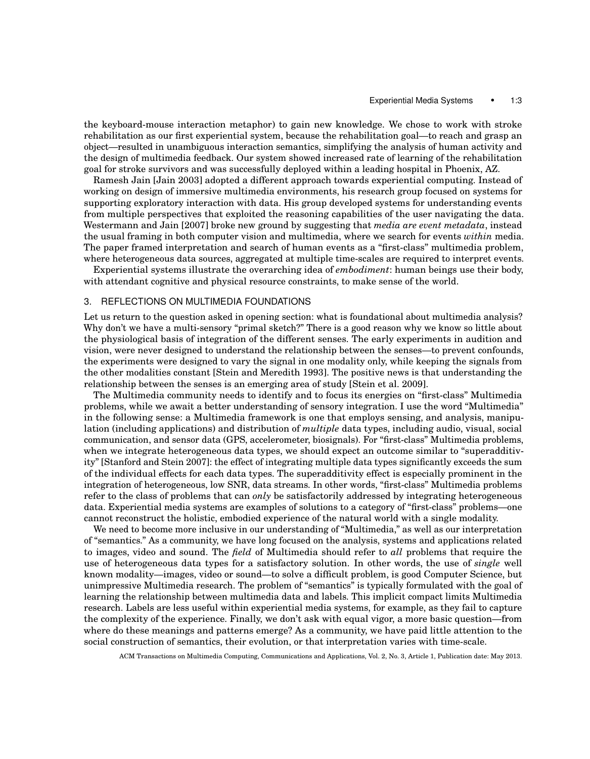the keyboard-mouse interaction metaphor) to gain new knowledge. We chose to work with stroke rehabilitation as our first experiential system, because the rehabilitation goal—to reach and grasp an object—resulted in unambiguous interaction semantics, simplifying the analysis of human activity and the design of multimedia feedback. Our system showed increased rate of learning of the rehabilitation goal for stroke survivors and was successfully deployed within a leading hospital in Phoenix, AZ.

Ramesh Jain [Jain 2003] adopted a different approach towards experiential computing. Instead of working on design of immersive multimedia environments, his research group focused on systems for supporting exploratory interaction with data. His group developed systems for understanding events from multiple perspectives that exploited the reasoning capabilities of the user navigating the data. Westermann and Jain [2007] broke new ground by suggesting that *media are event metadata*, instead the usual framing in both computer vision and multimedia, where we search for events *within* media. The paper framed interpretation and search of human events as a "first-class" multimedia problem, where heterogeneous data sources, aggregated at multiple time-scales are required to interpret events.

Experiential systems illustrate the overarching idea of *embodiment*: human beings use their body, with attendant cognitive and physical resource constraints, to make sense of the world.

# 3. REFLECTIONS ON MULTIMEDIA FOUNDATIONS

Let us return to the question asked in opening section: what is foundational about multimedia analysis? Why don't we have a multi-sensory "primal sketch?" There is a good reason why we know so little about the physiological basis of integration of the different senses. The early experiments in audition and vision, were never designed to understand the relationship between the senses—to prevent confounds, the experiments were designed to vary the signal in one modality only, while keeping the signals from the other modalities constant [Stein and Meredith 1993]. The positive news is that understanding the relationship between the senses is an emerging area of study [Stein et al. 2009].

The Multimedia community needs to identify and to focus its energies on "first-class" Multimedia problems, while we await a better understanding of sensory integration. I use the word "Multimedia" in the following sense: a Multimedia framework is one that employs sensing, and analysis, manipulation (including applications) and distribution of *multiple* data types, including audio, visual, social communication, and sensor data (GPS, accelerometer, biosignals). For "first-class" Multimedia problems, when we integrate heterogeneous data types, we should expect an outcome similar to "superadditivity" [Stanford and Stein 2007]: the effect of integrating multiple data types significantly exceeds the sum of the individual effects for each data types. The superadditivity effect is especially prominent in the integration of heterogeneous, low SNR, data streams. In other words, "first-class" Multimedia problems refer to the class of problems that can *only* be satisfactorily addressed by integrating heterogeneous data. Experiential media systems are examples of solutions to a category of "first-class" problems—one cannot reconstruct the holistic, embodied experience of the natural world with a single modality.

We need to become more inclusive in our understanding of "Multimedia," as well as our interpretation of "semantics." As a community, we have long focused on the analysis, systems and applications related to images, video and sound. The *field* of Multimedia should refer to *all* problems that require the use of heterogeneous data types for a satisfactory solution. In other words, the use of *single* well known modality—images, video or sound—to solve a difficult problem, is good Computer Science, but unimpressive Multimedia research. The problem of "semantics" is typically formulated with the goal of learning the relationship between multimedia data and labels. This implicit compact limits Multimedia research. Labels are less useful within experiential media systems, for example, as they fail to capture the complexity of the experience. Finally, we don't ask with equal vigor, a more basic question—from where do these meanings and patterns emerge? As a community, we have paid little attention to the social construction of semantics, their evolution, or that interpretation varies with time-scale.